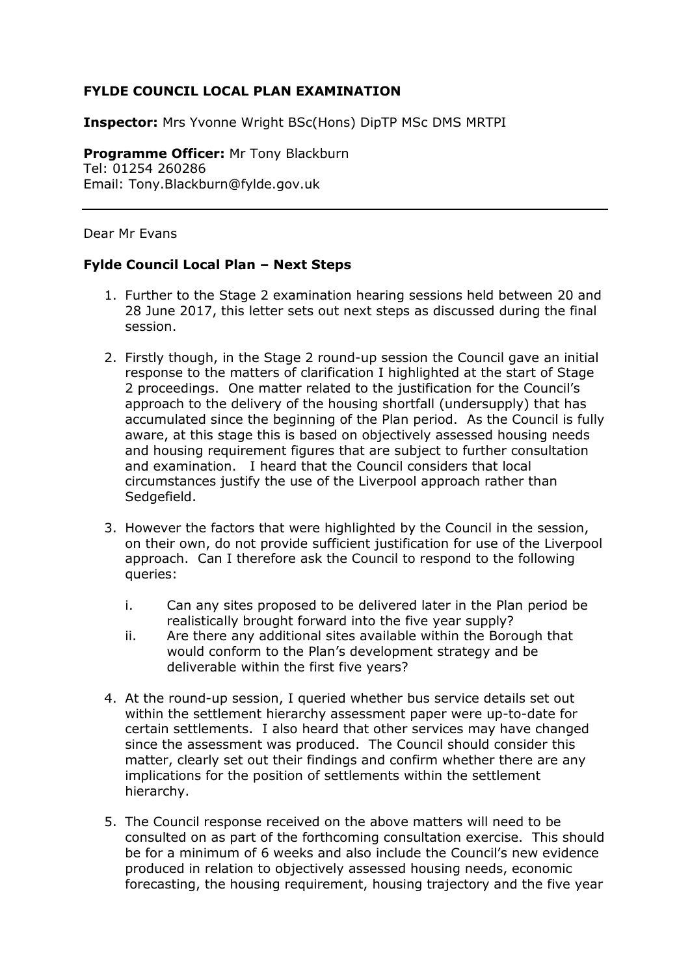## **FYLDE COUNCIL LOCAL PLAN EXAMINATION**

**Inspector:** Mrs Yvonne Wright BSc(Hons) DipTP MSc DMS MRTPI

**Programme Officer:** Mr Tony Blackburn Tel: 01254 260286 Email: Tony.Blackburn@fylde.gov.uk

Dear Mr Evans

## **Fylde Council Local Plan – Next Steps**

- 1. Further to the Stage 2 examination hearing sessions held between 20 and 28 June 2017, this letter sets out next steps as discussed during the final session.
- 2. Firstly though, in the Stage 2 round-up session the Council gave an initial response to the matters of clarification I highlighted at the start of Stage 2 proceedings. One matter related to the justification for the Council's approach to the delivery of the housing shortfall (undersupply) that has accumulated since the beginning of the Plan period. As the Council is fully aware, at this stage this is based on objectively assessed housing needs and housing requirement figures that are subject to further consultation and examination. I heard that the Council considers that local circumstances justify the use of the Liverpool approach rather than Sedgefield.
- 3. However the factors that were highlighted by the Council in the session, on their own, do not provide sufficient justification for use of the Liverpool approach. Can I therefore ask the Council to respond to the following queries:
	- i. Can any sites proposed to be delivered later in the Plan period be realistically brought forward into the five year supply?
	- ii. Are there any additional sites available within the Borough that would conform to the Plan's development strategy and be deliverable within the first five years?
- 4. At the round-up session, I queried whether bus service details set out within the settlement hierarchy assessment paper were up-to-date for certain settlements. I also heard that other services may have changed since the assessment was produced. The Council should consider this matter, clearly set out their findings and confirm whether there are any implications for the position of settlements within the settlement hierarchy.
- 5. The Council response received on the above matters will need to be consulted on as part of the forthcoming consultation exercise. This should be for a minimum of 6 weeks and also include the Council's new evidence produced in relation to objectively assessed housing needs, economic forecasting, the housing requirement, housing trajectory and the five year